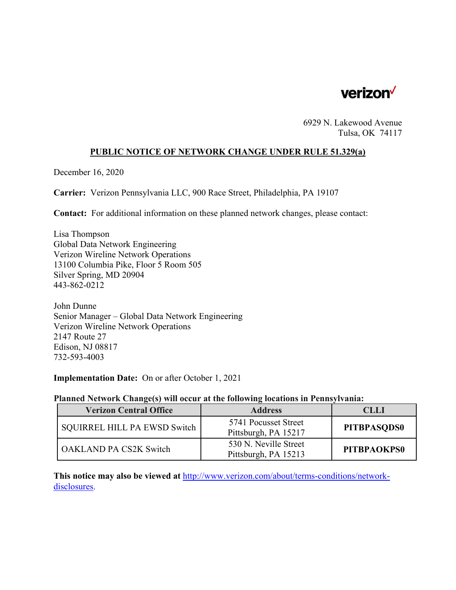

6929 N. Lakewood Avenue Tulsa, OK 74117

### **PUBLIC NOTICE OF NETWORK CHANGE UNDER RULE 51.329(a)**

December 16, 2020

**Carrier:** Verizon Pennsylvania LLC, 900 Race Street, Philadelphia, PA 19107

**Contact:** For additional information on these planned network changes, please contact:

Lisa Thompson Global Data Network Engineering Verizon Wireline Network Operations 13100 Columbia Pike, Floor 5 Room 505 Silver Spring, MD 20904 443-862-0212

John Dunne Senior Manager – Global Data Network Engineering Verizon Wireline Network Operations 2147 Route 27 Edison, NJ 08817 732-593-4003

**Implementation Date:** On or after October 1, 2021

#### **Planned Network Change(s) will occur at the following locations in Pennsylvania:**

| <b>Verizon Central Office</b> | <b>Address</b>                                | <b>CLLI</b>        |
|-------------------------------|-----------------------------------------------|--------------------|
| SQUIRREL HILL PA EWSD Switch  | 5741 Pocusset Street<br>Pittsburgh, PA 15217  | <b>PITBPASODS0</b> |
| <b>OAKLAND PA CS2K Switch</b> | 530 N. Neville Street<br>Pittsburgh, PA 15213 | <b>PITBPAOKPS0</b> |

**This notice may also be viewed at** http://www.verizon.com/about/terms-conditions/networkdisclosures.